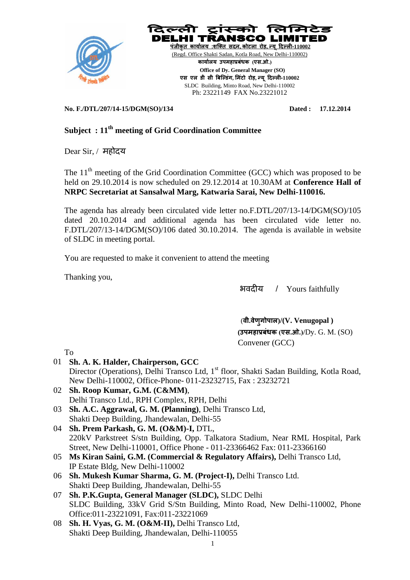



**No. F./DTL/207/14-15/DGM(SO)/134 Dated : 17.12.2014**

## **Subject : 11 th meeting of Grid Coordination Committee**

Dear Sir, / महोदय

The  $11<sup>th</sup>$  meeting of the Grid Coordination Committee (GCC) which was proposed to be held on 29.10.2014 is now scheduled on 29.12.2014 at 10.30AM at **Conference Hall of NRPC Secretariat at Sansalwal Marg, Katwaria Sarai, New Delhi-110016.**

The agenda has already been circulated vide letter no.F.DTL/207/13-14/DGM(SO)/105 dated 20.10.2014 and additional agenda has been circulated vide letter no. F.DTL/207/13-14/DGM(SO)/106 dated 30.10.2014. The agenda is available in website of SLDC in meeting portal.

You are requested to make it convenient to attend the meeting

Thanking you,

भवदीय / Yours faithfully

(**वी.वेणुगोपाल)/(V. Venugopal ) (उपमहाप्रबंधक (एस.ओ.)/**Dy. G. M. (SO) Convener (GCC)

- To 01 **Sh. A. K. Halder, Chairperson, GCC** Director (Operations), Delhi Transco Ltd, 1<sup>st</sup> floor, Shakti Sadan Building, Kotla Road, New Delhi-110002, Office-Phone- 011-23232715, Fax : 23232721 02 **Sh. Roop Kumar, G.M. (C&MM)**,
- Delhi Transco Ltd., RPH Complex, RPH, Delhi
- 03 **Sh. A.C. Aggrawal, G. M. (Planning)**, Delhi Transco Ltd, Shakti Deep Building, Jhandewalan, Delhi-55
- 04 **Sh. Prem Parkash, G. M. (O&M)-I,** DTL, 220kV Parkstreet S/stn Building, Opp. Talkatora Stadium, Near RML Hospital, Park Street, New Delhi-110001, Office Phone - 011-23366462 Fax: 011-23366160
- 05 **Ms Kiran Saini, G.M. (Commercial & Regulatory Affairs),** Delhi Transco Ltd, IP Estate Bldg, New Delhi-110002
- 06 **Sh. Mukesh Kumar Sharma, G. M. (Project-I),** Delhi Transco Ltd. Shakti Deep Building, Jhandewalan, Delhi-55
- 07 **Sh. P.K.Gupta, General Manager (SLDC),** SLDC Delhi SLDC Building, 33kV Grid S/Stn Building, Minto Road, New Delhi-110002, Phone Office:011-23221091, Fax:011-23221069
- 08 **Sh. H. Vyas, G. M. (O&M-II),** Delhi Transco Ltd, Shakti Deep Building, Jhandewalan, Delhi-110055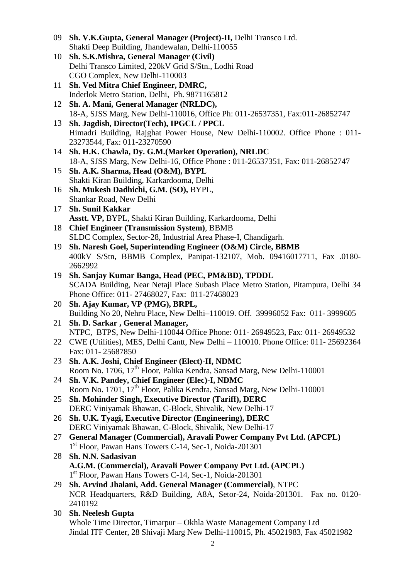- 09 **Sh. V.K.Gupta, General Manager (Project)-II,** Delhi Transco Ltd. Shakti Deep Building, Jhandewalan, Delhi-110055
- 10 **Sh. S.K.Mishra, General Manager (Civil)** Delhi Transco Limited, 220kV Grid S/Stn., Lodhi Road CGO Complex, New Delhi-110003
- 11 **Sh. Ved Mitra Chief Engineer, DMRC,**  Inderlok Metro Station, Delhi, Ph. 9871165812
- 12 **Sh. A. Mani, General Manager (NRLDC),** 18-A, SJSS Marg, New Delhi-110016, Office Ph: 011-26537351, Fax:011-26852747
- 13 **Sh. Jagdish, Director(Tech), IPGCL / PPCL** Himadri Building, Rajghat Power House, New Delhi-110002. Office Phone : 011- 23273544, Fax: 011-23270590
- 14 **Sh. H.K. Chawla, Dy. G.M.(Market Operation), NRLDC** 18-A, SJSS Marg, New Delhi-16, Office Phone : 011-26537351, Fax: 011-26852747
- 15 **Sh. A.K. Sharma, Head (O&M), BYPL** Shakti Kiran Building, Karkardooma, Delhi
- 16 **Sh. Mukesh Dadhichi, G.M. (SO),** BYPL, Shankar Road, New Delhi
- 17 **Sh. Sunil Kakkar Asstt. VP,** BYPL, Shakti Kiran Building, Karkardooma, Delhi
- 18 **Chief Engineer (Transmission System)**, BBMB SLDC Complex, Sector-28, Industrial Area Phase-I, Chandigarh.
- 19 **Sh. Naresh Goel, Superintending Engineer (O&M) Circle, BBMB** 400kV S/Stn, BBMB Complex, Panipat-132107, Mob. 09416017711, Fax .0180- 2662992
- 19 **Sh. Sanjay Kumar Banga, Head (PEC, PM&BD), TPDDL** SCADA Building, Near Netaji Place Subash Place Metro Station, Pitampura, Delhi 34 Phone Office: 011- 27468027, Fax: 011-27468023
- 20 **Sh. Ajay Kumar, VP (PMG), BRPL,**  Building No 20, Nehru Place**,** New Delhi–110019. Off. 39996052 Fax: 011- 3999605
- 21 **Sh. D. Sarkar , General Manager,** NTPC, BTPS, New Delhi-110044 Office Phone: 011- 26949523, Fax: 011- 26949532
- 22 CWE (Utilities), MES, Delhi Cantt, New Delhi 110010. Phone Office: 011- 25692364 Fax: 011- 25687850
- 23 **Sh. A.K. Joshi, Chief Engineer (Elect)-II, NDMC** Room No. 1706, 17<sup>th</sup> Floor, Palika Kendra, Sansad Marg, New Delhi-110001
- 24 **Sh. V.K. Pandey, Chief Engineer (Elec)-I, NDMC** Room No. 1701, 17<sup>th</sup> Floor, Palika Kendra, Sansad Marg, New Delhi-110001
- 25 **Sh. Mohinder Singh, Executive Director (Tariff), DERC** DERC Viniyamak Bhawan, C-Block, Shivalik, New Delhi-17
- 26 **Sh. U.K. Tyagi, Executive Director (Engineering), DERC** DERC Viniyamak Bhawan, C-Block, Shivalik, New Delhi-17
- 27 **General Manager (Commercial), Aravali Power Company Pvt Ltd. (APCPL)** 1<sup>st</sup> Floor, Pawan Hans Towers C-14, Sec-1, Noida-201301
- 28 **Sh. N.N. Sadasivan A.G.M. (Commercial), Aravali Power Company Pvt Ltd. (APCPL)** 1 st Floor, Pawan Hans Towers C-14, Sec-1, Noida-201301
- 29 **Sh. Arvind Jhalani, Add. General Manager (Commercial)**, NTPC NCR Headquarters, R&D Building, A8A, Setor-24, Noida-201301. Fax no. 0120- 2410192
- 30 **Sh. Neelesh Gupta** Whole Time Director, Timarpur – Okhla Waste Management Company Ltd Jindal ITF Center, 28 Shivaji Marg New Delhi-110015, Ph. 45021983, Fax 45021982